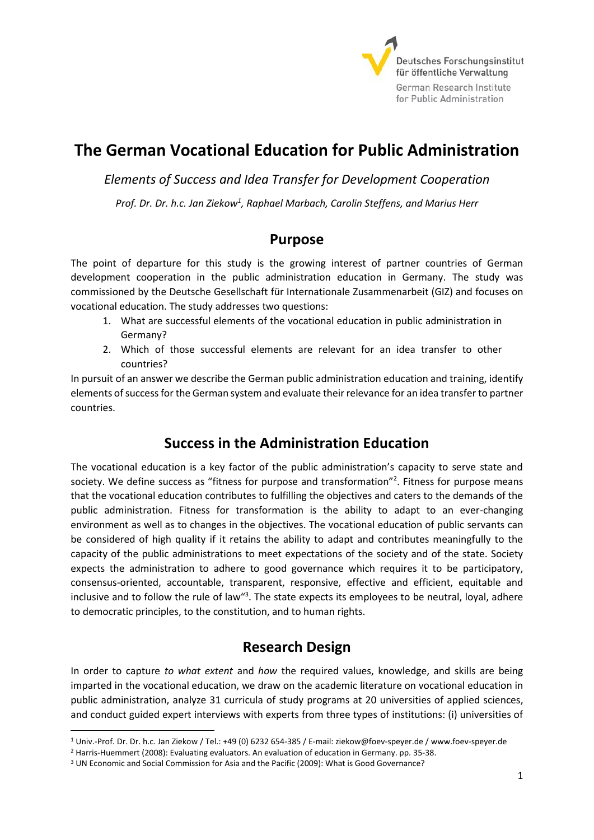

# **The German Vocational Education for Public Administration**

*Elements of Success and Idea Transfer for Development Cooperation*

Prof. Dr. Dr. h.c. Jan Ziekow<sup>1</sup>, Raphael Marbach, Carolin Steffens, and Marius Herr

### **Purpose**

The point of departure for this study is the growing interest of partner countries of German development cooperation in the public administration education in Germany. The study was commissioned by the Deutsche Gesellschaft für Internationale Zusammenarbeit (GIZ) and focuses on vocational education. The study addresses two questions:

- 1. What are successful elements of the vocational education in public administration in Germany?
- 2. Which of those successful elements are relevant for an idea transfer to other countries?

In pursuit of an answer we describe the German public administration education and training, identify elements of success for the German system and evaluate their relevance for an idea transfer to partner countries.

## **Success in the Administration Education**

The vocational education is a key factor of the public administration's capacity to serve state and society. We define success as "fitness for purpose and transformation"<sup>2</sup>. Fitness for purpose means that the vocational education contributes to fulfilling the objectives and caters to the demands of the public administration. Fitness for transformation is the ability to adapt to an ever-changing environment as well as to changes in the objectives. The vocational education of public servants can be considered of high quality if it retains the ability to adapt and contributes meaningfully to the capacity of the public administrations to meet expectations of the society and of the state. Society expects the administration to adhere to good governance which requires it to be participatory, consensus-oriented, accountable, transparent, responsive, effective and efficient, equitable and inclusive and to follow the rule of law<sup>"3</sup>. The state expects its employees to be neutral, loyal, adhere to democratic principles, to the constitution, and to human rights.

# **Research Design**

In order to capture *to what extent* and *how* the required values, knowledge, and skills are being imparted in the vocational education, we draw on the academic literature on vocational education in public administration, analyze 31 curricula of study programs at 20 universities of applied sciences, and conduct guided expert interviews with experts from three types of institutions: (i) universities of

 $\overline{a}$ 

<sup>1</sup> Univ.-Prof. Dr. Dr. h.c. Jan Ziekow / Tel.: +49 (0) 6232 654-385 / E-mail: ziekow@foev-speyer.de / www.foev-speyer.de

<sup>2</sup> Harris-Huemmert (2008): Evaluating evaluators. An evaluation of education in Germany. pp. 35-38.

<sup>3</sup> UN Economic and Social Commission for Asia and the Pacific (2009): What is Good Governance?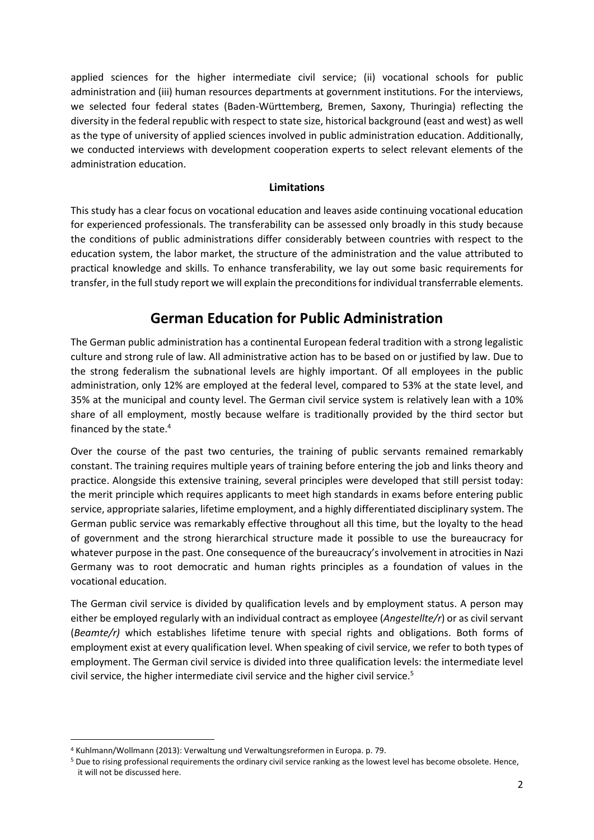applied sciences for the higher intermediate civil service; (ii) vocational schools for public administration and (iii) human resources departments at government institutions. For the interviews, we selected four federal states (Baden-Württemberg, Bremen, Saxony, Thuringia) reflecting the diversity in the federal republic with respect to state size, historical background (east and west) as well as the type of university of applied sciences involved in public administration education. Additionally, we conducted interviews with development cooperation experts to select relevant elements of the administration education.

#### **Limitations**

This study has a clear focus on vocational education and leaves aside continuing vocational education for experienced professionals. The transferability can be assessed only broadly in this study because the conditions of public administrations differ considerably between countries with respect to the education system, the labor market, the structure of the administration and the value attributed to practical knowledge and skills. To enhance transferability, we lay out some basic requirements for transfer, in the full study report we will explain the preconditions for individual transferrable elements.

## **German Education for Public Administration**

The German public administration has a continental European federal tradition with a strong legalistic culture and strong rule of law. All administrative action has to be based on or justified by law. Due to the strong federalism the subnational levels are highly important. Of all employees in the public administration, only 12% are employed at the federal level, compared to 53% at the state level, and 35% at the municipal and county level. The German civil service system is relatively lean with a 10% share of all employment, mostly because welfare is traditionally provided by the third sector but financed by the state. 4

Over the course of the past two centuries, the training of public servants remained remarkably constant. The training requires multiple years of training before entering the job and links theory and practice. Alongside this extensive training, several principles were developed that still persist today: the merit principle which requires applicants to meet high standards in exams before entering public service, appropriate salaries, lifetime employment, and a highly differentiated disciplinary system. The German public service was remarkably effective throughout all this time, but the loyalty to the head of government and the strong hierarchical structure made it possible to use the bureaucracy for whatever purpose in the past. One consequence of the bureaucracy's involvement in atrocities in Nazi Germany was to root democratic and human rights principles as a foundation of values in the vocational education.

The German civil service is divided by qualification levels and by employment status. A person may either be employed regularly with an individual contract as employee (*Angestellte/r*) or as civil servant (*Beamte/r)* which establishes lifetime tenure with special rights and obligations. Both forms of employment exist at every qualification level. When speaking of civil service, we refer to both types of employment. The German civil service is divided into three qualification levels: the intermediate level civil service, the higher intermediate civil service and the higher civil service.<sup>5</sup>

 $\overline{a}$ 

<sup>4</sup> Kuhlmann/Wollmann (2013): Verwaltung und Verwaltungsreformen in Europa. p. 79.

<sup>5</sup> Due to rising professional requirements the ordinary civil service ranking as the lowest level has become obsolete. Hence, it will not be discussed here.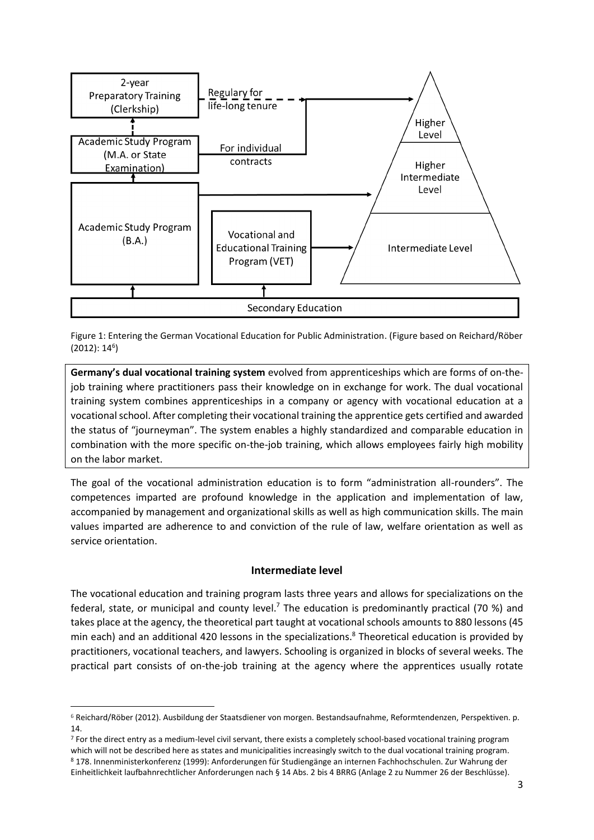



**Germany's dual vocational training system** evolved from apprenticeships which are forms of on-thejob training where practitioners pass their knowledge on in exchange for work. The dual vocational training system combines apprenticeships in a company or agency with vocational education at a vocational school. After completing their vocational training the apprentice gets certified and awarded the status of "journeyman". The system enables a highly standardized and comparable education in combination with the more specific on-the-job training, which allows employees fairly high mobility on the labor market.

The goal of the vocational administration education is to form "administration all-rounders". The competences imparted are profound knowledge in the application and implementation of law, accompanied by management and organizational skills as well as high communication skills. The main values imparted are adherence to and conviction of the rule of law, welfare orientation as well as service orientation.

#### **Intermediate level**

The vocational education and training program lasts three years and allows for specializations on the federal, state, or municipal and county level.<sup>7</sup> The education is predominantly practical (70 %) and takes place at the agency, the theoretical part taught at vocational schools amounts to 880 lessons (45 min each) and an additional 420 lessons in the specializations. <sup>8</sup> Theoretical education is provided by practitioners, vocational teachers, and lawyers. Schooling is organized in blocks of several weeks. The practical part consists of on-the-job training at the agency where the apprentices usually rotate

 $\overline{a}$ <sup>6</sup> Reichard/Röber (2012). Ausbildung der Staatsdiener von morgen. Bestandsaufnahme, Reformtendenzen, Perspektiven. p. 14.

<sup>7</sup> For the direct entry as a medium-level civil servant, there exists a completely school-based vocational training program which will not be described here as states and municipalities increasingly switch to the dual vocational training program. <sup>8</sup> 178. Innenministerkonferenz (1999): Anforderungen für Studiengänge an internen Fachhochschulen. Zur Wahrung der Einheitlichkeit laufbahnrechtlicher Anforderungen nach § 14 Abs. 2 bis 4 BRRG (Anlage 2 zu Nummer 26 der Beschlüsse).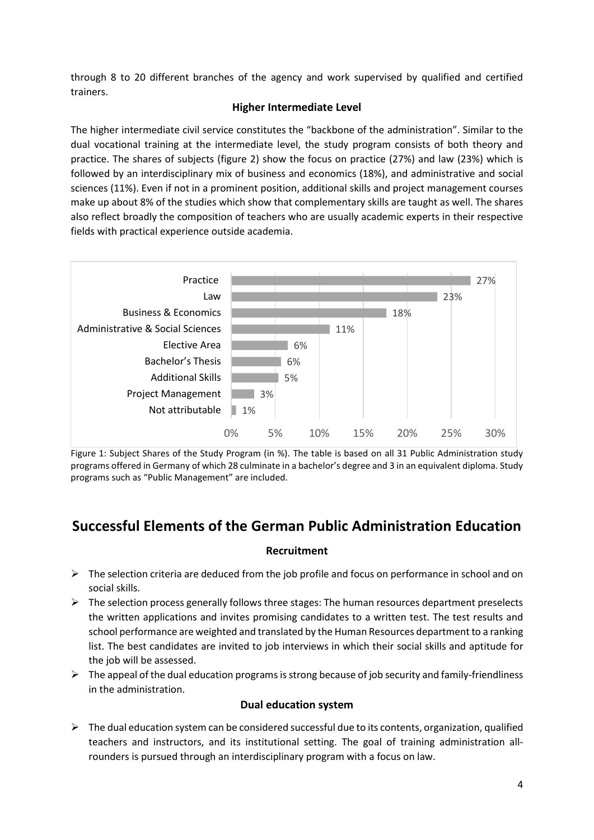through 8 to 20 different branches of the agency and work supervised by qualified and certified trainers.

### **Higher Intermediate Level**

The higher intermediate civil service constitutes the "backbone of the administration". Similar to the dual vocational training at the intermediate level, the study program consists of both theory and practice. The shares of subjects (figure 2) show the focus on practice (27%) and law (23%) which is followed by an interdisciplinary mix of business and economics (18%), and administrative and social sciences (11%). Even if not in a prominent position, additional skills and project management courses make up about 8% of the studies which show that complementary skills are taught as well. The shares also reflect broadly the composition of teachers who are usually academic experts in their respective fields with practical experience outside academia.



Figure 1: Subject Shares of the Study Program (in %). The table is based on all 31 Public Administration study programs offered in Germany of which 28 culminate in a bachelor's degree and 3 in an equivalent diploma. Study programs such as "Public Management" are included.

## **Successful Elements of the German Public Administration Education**

### **Recruitment**

- $\triangleright$  The selection criteria are deduced from the job profile and focus on performance in school and on social skills.
- $\triangleright$  The selection process generally follows three stages: The human resources department preselects the written applications and invites promising candidates to a written test. The test results and school performance are weighted and translated by the Human Resources department to a ranking list. The best candidates are invited to job interviews in which their social skills and aptitude for the job will be assessed.
- $\triangleright$  The appeal of the dual education programs is strong because of job security and family-friendliness in the administration.

### **Dual education system**

 $\triangleright$  The dual education system can be considered successful due to its contents, organization, qualified teachers and instructors, and its institutional setting. The goal of training administration allrounders is pursued through an interdisciplinary program with a focus on law.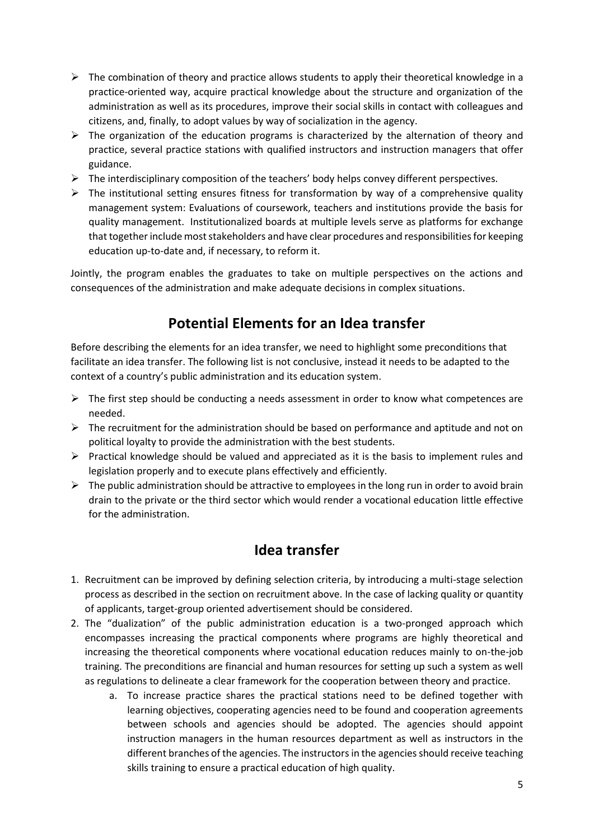- $\triangleright$  The combination of theory and practice allows students to apply their theoretical knowledge in a practice-oriented way, acquire practical knowledge about the structure and organization of the administration as well as its procedures, improve their social skills in contact with colleagues and citizens, and, finally, to adopt values by way of socialization in the agency.
- $\triangleright$  The organization of the education programs is characterized by the alternation of theory and practice, several practice stations with qualified instructors and instruction managers that offer guidance.
- $\triangleright$  The interdisciplinary composition of the teachers' body helps convey different perspectives.
- $\triangleright$  The institutional setting ensures fitness for transformation by way of a comprehensive quality management system: Evaluations of coursework, teachers and institutions provide the basis for quality management. Institutionalized boards at multiple levels serve as platforms for exchange that together include most stakeholders and have clear procedures and responsibilities for keeping education up-to-date and, if necessary, to reform it.

Jointly, the program enables the graduates to take on multiple perspectives on the actions and consequences of the administration and make adequate decisions in complex situations.

# **Potential Elements for an Idea transfer**

Before describing the elements for an idea transfer, we need to highlight some preconditions that facilitate an idea transfer. The following list is not conclusive, instead it needs to be adapted to the context of a country's public administration and its education system.

- $\triangleright$  The first step should be conducting a needs assessment in order to know what competences are needed.
- $\triangleright$  The recruitment for the administration should be based on performance and aptitude and not on political loyalty to provide the administration with the best students.
- $\triangleright$  Practical knowledge should be valued and appreciated as it is the basis to implement rules and legislation properly and to execute plans effectively and efficiently.
- $\triangleright$  The public administration should be attractive to employees in the long run in order to avoid brain drain to the private or the third sector which would render a vocational education little effective for the administration.

### **Idea transfer**

- 1. Recruitment can be improved by defining selection criteria, by introducing a multi-stage selection process as described in the section on recruitment above. In the case of lacking quality or quantity of applicants, target-group oriented advertisement should be considered.
- 2. The "dualization" of the public administration education is a two-pronged approach which encompasses increasing the practical components where programs are highly theoretical and increasing the theoretical components where vocational education reduces mainly to on-the-job training. The preconditions are financial and human resources for setting up such a system as well as regulations to delineate a clear framework for the cooperation between theory and practice.
	- a. To increase practice shares the practical stations need to be defined together with learning objectives, cooperating agencies need to be found and cooperation agreements between schools and agencies should be adopted. The agencies should appoint instruction managers in the human resources department as well as instructors in the different branches of the agencies. The instructors in the agencies should receive teaching skills training to ensure a practical education of high quality.